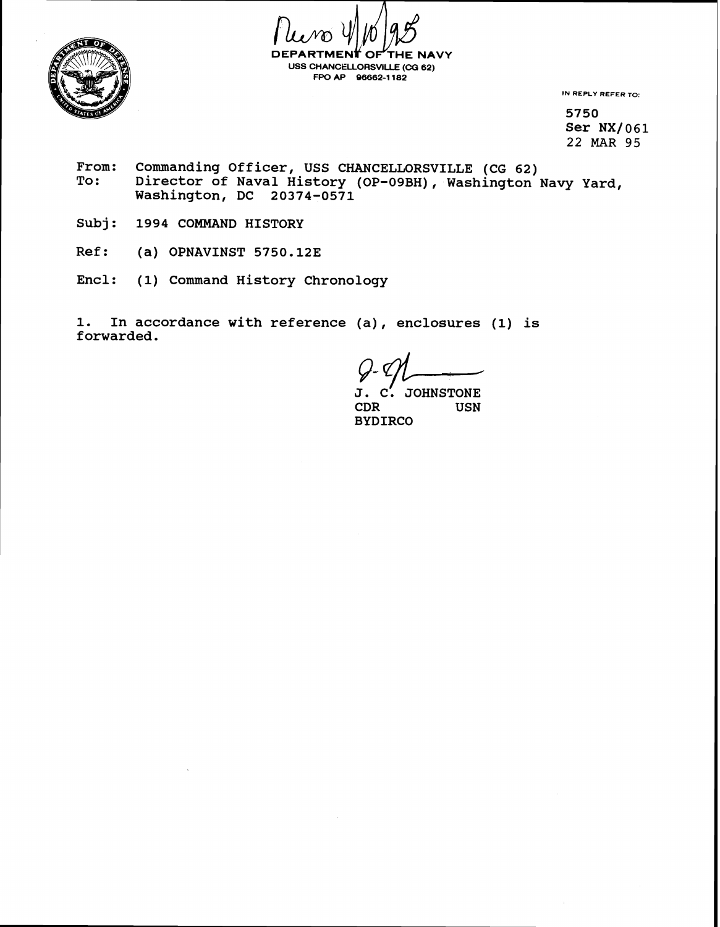

**DEPARTMENT OF THE NA<sup>T</sup>**<br>USS CHANCELLORSVILLE (CG 62) **THE NAVY** FPO AP 96662-1182

**IN REPLY REFER TO:** 

**5750**  Ser NX/061 22 **MAR** 95

- From: Commanding Officer, USS CHANCELLORSVILLE (CG 62)<br>To: Director of Naval History (OP-09BH), Washington Director of Naval History (OP-09BH), Washington Navy Yard, **Washington, DC 20374-0571**
- **Subj: 1994 COMMAND HISTORY**
- **Ref: (a) OPNAVINST 5750.123**
- **Encl: (1) Command History Chronology**

**1. In accordance with reference (a), enclosures (1) is forwarded.** 

**J. C: JOHNSTONE**  USN **BYDIRCO**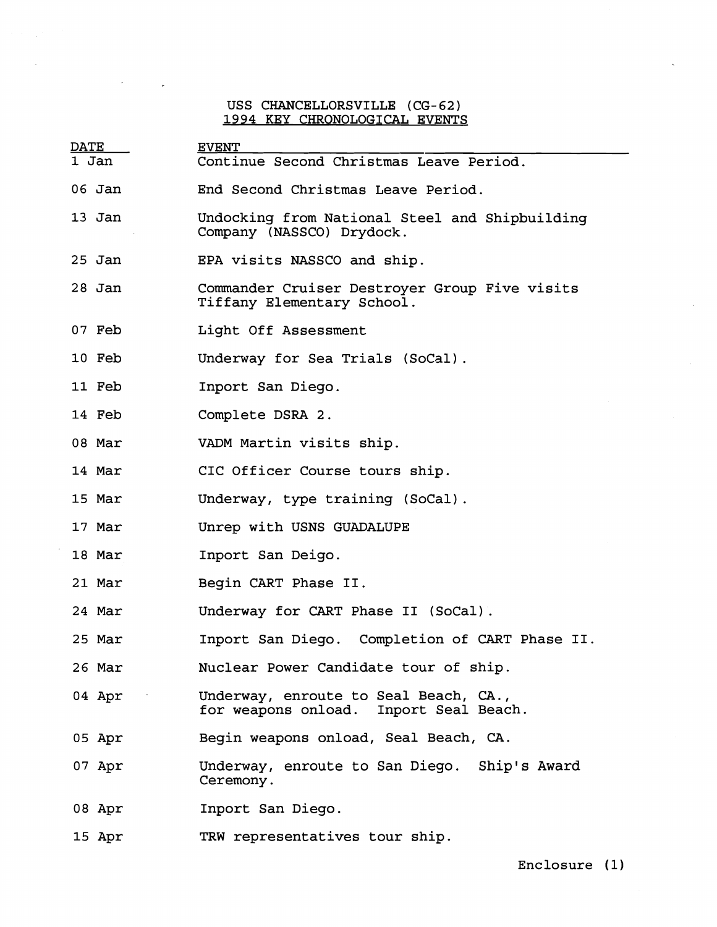## USS CHANCELLORSVILLE (CG-62) **1994** KEY CHRQNOLOGICAL EVENTS

 $\mathcal{L}$ 

 $\sim$ 

| <b>DATE</b> |                 | <b>EVENT</b>                                                                    |
|-------------|-----------------|---------------------------------------------------------------------------------|
| 1 Jan       |                 | Continue Second Christmas Leave Period.                                         |
| 06 Jan      |                 | End Second Christmas Leave Period.                                              |
| 13 Jan      |                 | Undocking from National Steel and Shipbuilding<br>Company (NASSCO) Drydock.     |
| $25$ Jan    |                 | EPA visits NASSCO and ship.                                                     |
| 28 Jan      |                 | Commander Cruiser Destroyer Group Five visits<br>Tiffany Elementary School.     |
| 07 Feb      |                 | Light Off Assessment                                                            |
| 10 Feb      |                 | Underway for Sea Trials (SoCal).                                                |
| 11 Feb      |                 | Inport San Diego.                                                               |
| 14 Feb      |                 | Complete DSRA 2.                                                                |
| 08 Mar      |                 | VADM Martin visits ship.                                                        |
| 14 Mar      |                 | CIC Officer Course tours ship.                                                  |
| 15 Mar      |                 | Underway, type training (SoCal).                                                |
| 17 Mar      |                 | Unrep with USNS GUADALUPE                                                       |
| 18 Mar      |                 | Inport San Deigo.                                                               |
| 21 Mar      |                 | Begin CART Phase II.                                                            |
|             | 24 Mar          | Underway for CART Phase II (SoCal).                                             |
|             | 25 Mar          | Inport San Diego. Completion of CART Phase II.                                  |
|             | 26 Mar          | Nuclear Power Candidate tour of ship.                                           |
|             | $04$ Apr $\sim$ | Underway, enroute to Seal Beach, CA.,<br>for weapons onload. Inport Seal Beach. |
|             | 05 Apr          | Begin weapons onload, Seal Beach, CA.                                           |
|             | 07 Apr          | Underway, enroute to San Diego. Ship's Award<br>Ceremony.                       |
|             | 08 Apr          | Inport San Diego.                                                               |
|             | 15 Apr          | TRW representatives tour ship.                                                  |

Enclosure **(1)**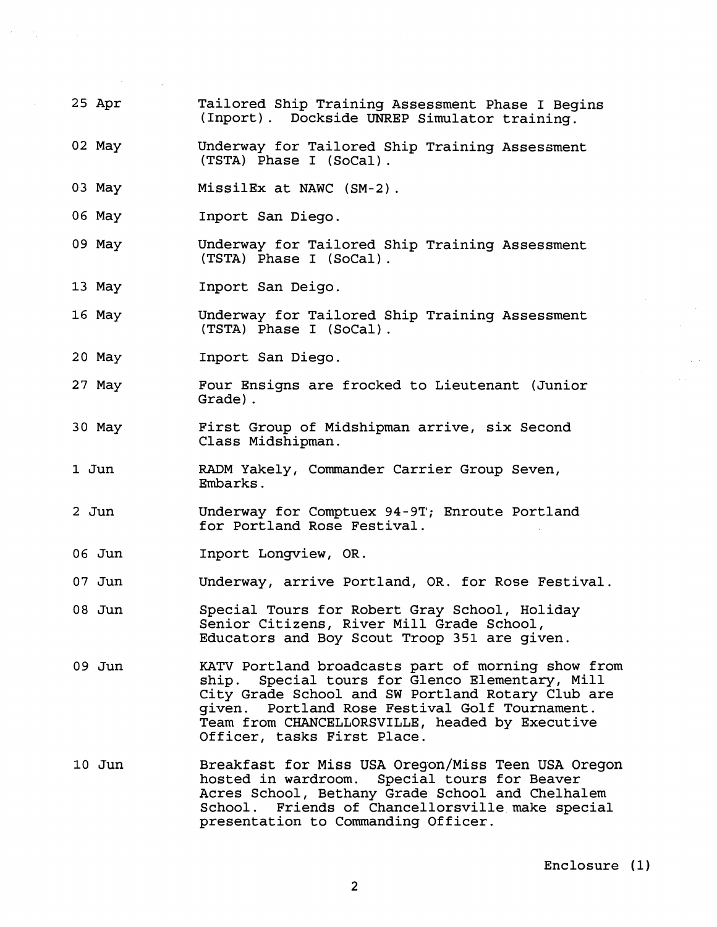- 25 Apr Tailored Ship Training Assessment Phase I Begins (Inport). Dockside UNREP Simulator training.
- 02 May Underway for Tailored Ship Training Assessment (TSTA) Phase I (SoCal) .
- 03 May MissilEx at NAWC (SM-2).
- 06 May Inport San Diego.
- 09 May Underway for Tailored Ship Training Assessment (TSTA) Phase I (SoCal) .
- 13 May Inport San Deigo.
- 16 May Underway for Tailored Ship Training Assessment (TSTA) Phase I (SoCal) .
- 20 May Inport San Diego.
- 27 May Four Ensigns are frocked to Lieutenant (Junior Grade) .
- 30 May First Group of Midshipman arrive, six Second Class Midshipman.
- 1 Jun RADM Yakely, Commander Carrier Group Seven, Embarks.
- 2 Jun Underway for Comptuex 94-91'; Enroute Portland for Portland Rose Festival.
- 06 Jun Inport Longview, OR.
- 07 Jun Underway, arrive Portland, OR. for Rose Festival.
- 08 Jun Special Tours for Robert Gray School, Holiday Senior Citizens, River Mill Grade School, Educators and Boy Scout Troop 351 are given.
- 09 Jun **KATV** Portland broadcasts part of morning show from ship. Special tours for Glenco Elementary, Mill City Grade School and SW Portland Rotary Club are given. Portland Rose Festival Golf Tournament. Team from CHANCELLORSVILLE, headed by Executive Officer, tasks First Place.
- 10 Jun Breakfast for Miss USA Oregon/Miss Teen USA Oregon hosted in wardroom. Special tours for Beaver Special tours for Beaver Acres School, Bethany Grade School and Chelhalem School. Friends of Chancellorsville make special presentation to Commanding Officer.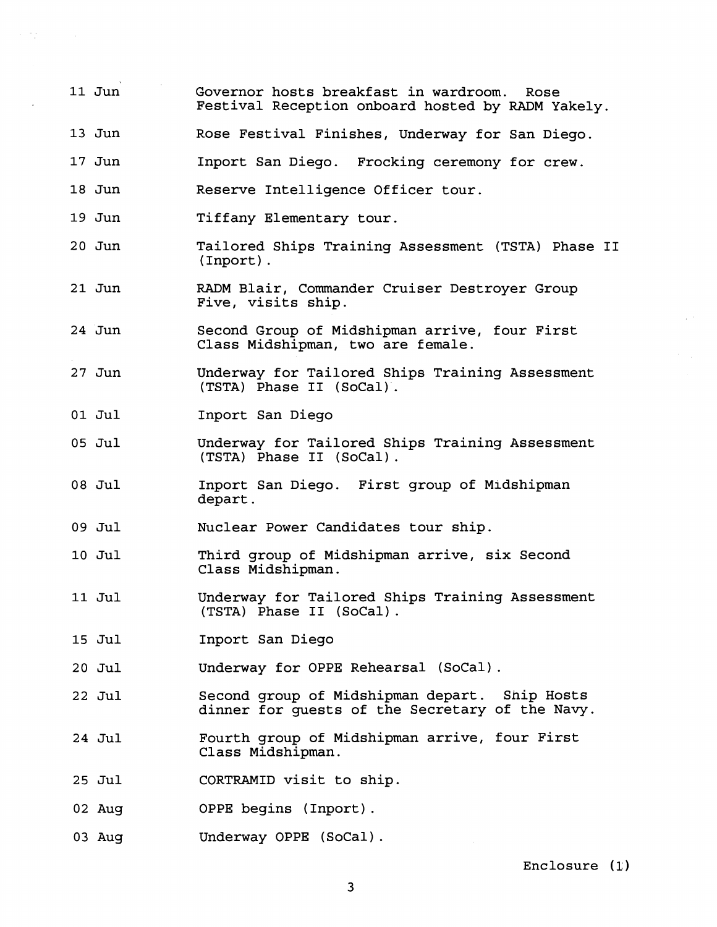- **11** Jun Governor hosts breakfast in wardroom. Rose Festival Reception onboard hosted by RADM Yakely.
- **13** Jun Rose Festival Finishes, Underway for San Diego.
- **17** Jun Inport San Diego. Frocking ceremony for crew.
- **18** Jun Reserve Intelligence Officer tour.
- **19** Jun Tiffany Elementary tour.
- **2 0** Jun Tailored Ships Training Assessment (TSTA) Phase **I1**  (Inport) .
- **2 1** Jun RADM Blair, Commander Cruiser Destroyer Group Five, visits ship.
- **24** Jun Second Group of Midshipman arrive, four First Class Midshipman, two are female.
- **2 7** Jun Underway for Tailored Ships Training Assessment (TSTA) Phase **I1** (SoCal)'.
- **01** Jul Inport San Diego
- **05** Jul Underway for Tailored Ships Training Assessment (TSTA) Phase I1 (SoCal) .
- **08** Jul Inport San Diego. First group of Midshipman depart.
- **09** Jul Nuclear Power Candidates tour ship.
- **10** Jul Third group of Midshipman arrive, six Second Class Midshipman.
- **11** Jul Underway for Tailored Ships Training Assessment (TSTA) Phase I1 (SoCal) .
- **15** Jul Inport San
- **2 0** Jul Underway for OPPE Rehearsal (SoCal).
- **22** Jul Second group of Midshipman depart. Ship Hosts dinner for guests of the Secretary of the Navy.
- **24** Jul Fourth group of Midshipman arrive, four First Class Midshipman.
- **25** Jul CORTRAMID visit to ship.
- **02** Aug OPPE begins (Inport) .
- **03** Aug Underway OPPE (SoCal) .

Enclosure **(1** )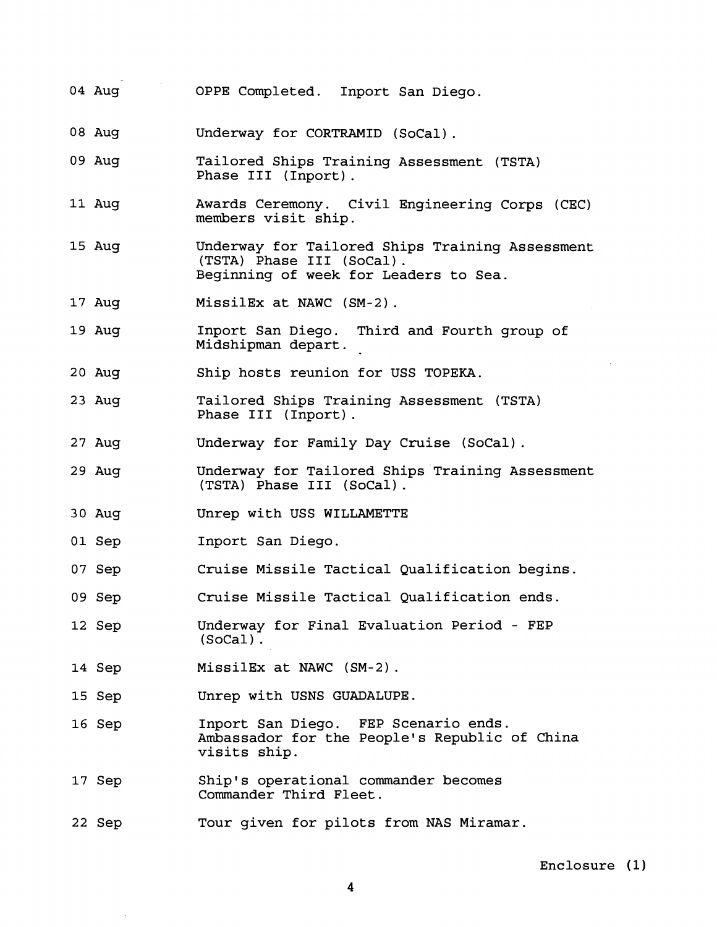- 04 Aug OPPE Completed. Inport San Diego.
- 08 Aug Underway for CORTRAMID (SoCal) .
- 09 Aug Tailored Ships Training Assessment (TSTA) Phase I11 (Inport) .
- 11 Aug Awards Ceremony. Civil Engineering Corps (CEC) members visit ship.
- 15 Aug Underway for Tailored Ships Training Assessment<br>(TSTA) Phase III (SoCal). Beginning of week for Leaders to Sea.
- 17 Aug MissilEx at NAWC (SM-2) .
- 19 Aug Inport San Diego. Third and Fourth group of Midshipman depart.
- 20 Aug Ship hosts reunion for USS TOPEKA.
- 23 Aug Tailored Ships Training Assessment (TSTA) Phase I11 (Inport) .
- 27 Aug Underway for Family Day Cruise (SoCal) .
- 29 Aug Underway for Tailored Ships Training Assessment (TSTA) Phase I11 (SoCal) .
- 30 Aug Unrep with USS WILLAMETTE
- 01 Sep Inport San Diego.
- 07 Sep Cruise Missile Tactical Qualification begins.
- 09 Sep Cruise Missile Tactical Qualification ends.
- 12 Sep Underway for Final Evaluation Period - FEP (SoCal) .
- 14 Sep MissilEx at NAWC (SM-2) .
- 15 Sep Unrep with USNS GUADALUPE.
- 16 Sep Inport San Diego. FEP Scenario ends. Ambassador for the People's Republic of China visits ship.
- 17 Sep Ship's operational commander becomes Commander Third Fleet.
- 22 Sep Tour given for pilots from NAS Miramar.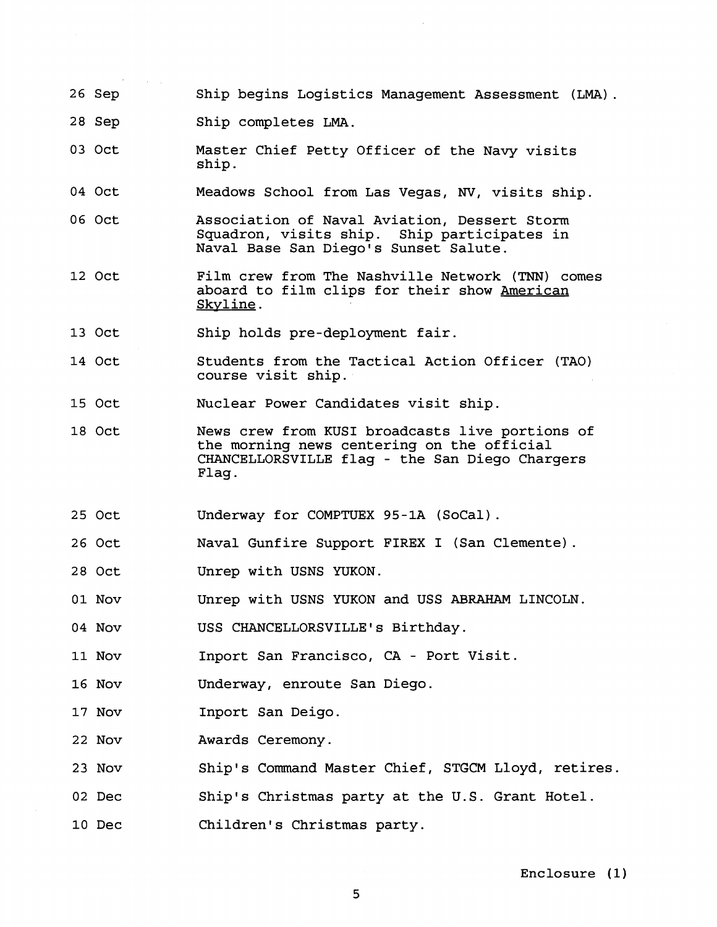- 26 Sep Ship begins Logistics Management Assessment (LMA).
- 28 Sep Ship completes LMA.
- 03 Oct Master Chief Petty Officer of the Navy visits ship.
- 04 Oct Meadows School from Las Vegas, **NV,** visits ship.
- 06 Oct Association of Naval Aviation, Dessert Storm Squadron, visits ship. Ship participates in Naval Base San Diego's Sunset Salute.
- 12 Oct Film crew from The Nashville Network (TNN) comes aboard to film clips for their show American Skvline .
- 13 Oct Ship holds pre-deployment fair.
- 14 Oct Students from the Tactical Action Officer (TAO) course visit ship.

15 Oct Nuclear Power Candidates visit ship.

- 18 Oct News crew from KUSI broadcasts live portions of the morning news centering on the official CHANCELLORSVILLE flag - the San Diego Chargers Flag.
- 25 Oct Underway for COMPTUEX 95-1A (SoCal) .
- 26 Oct Naval Gunfire Support FIREX I (San Clemente) .
- 28 Oct Unrep with USNS YUKON.
- 01 Nov Unrep with USNS YUKON and USS ABRAHAM LINCOLN.

04 Nov USS CHANCELLORSVILLE's Birthday.

11 Nov Inport San Francisco, CA - Port Visit.

- 16 Nov Underway, enroute San Diego.
- 17 Nov Inport San Deigo.
- 22 Nov Awards Ceremony.
- 23 Nov Ship's Command Master Chief, STGCM Lloyd, retires.
- 02 Dec Ship's Christmas party at the U.S. Grant Hotel.

10 Dec Children's Christmas party.

Enclosure (1)